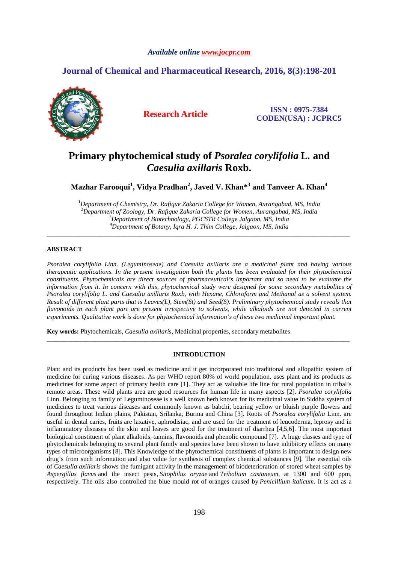#### *Available online www.jocpr.com*

## **Journal of Chemical and Pharmaceutical Research, 2016, 8(3):198-201**



**Research Article ISSN : 0975-7384 CODEN(USA) : JCPRC5**

# **Primary phytochemical study of** *Psoralea corylifolia* **L***.* **and**  *Caesulia axillaris* **Roxb.**

**Mazhar Farooqui<sup>1</sup> , Vidya Pradhan<sup>2</sup> , Javed V. Khan\*<sup>3</sup> and Tanveer A. Khan<sup>4</sup>**

*Department of Chemistry, Dr. Rafique Zakaria College for Women, Aurangabad, MS, India Department of Zoology, Dr. Rafique Zakaria College for Women, Aurangabad, MS, India Department of Biotechnology, PGCSTR College Jalgaon, MS, India Department of Botany, Iqra H. J. Thim College, Jalgaon, MS, India* 

\_\_\_\_\_\_\_\_\_\_\_\_\_\_\_\_\_\_\_\_\_\_\_\_\_\_\_\_\_\_\_\_\_\_\_\_\_\_\_\_\_\_\_\_\_\_\_\_\_\_\_\_\_\_\_\_\_\_\_\_\_\_\_\_\_\_\_\_\_\_\_\_\_\_\_\_\_\_\_\_\_\_\_\_\_\_\_\_\_\_\_\_\_

#### **ABSTRACT**

*Psoralea corylifolia Linn. (Leguminoseae) and Caesulia axillaris are a medicinal plant and having various therapeutic applications. In the present investigation both the plants has been evaluated for their phytochemical constituents. Phytochemicals are direct sources of pharmaceutical's important and so need to be evaluate the information from it. In concern with this, phytochemical study were designed for some secondary metabolites of Psoralea corylifolia L. and Caesulia axillaris Roxb, with Hexane, Chloroform and Methanol as a solvent system. Result of different plant parts that is Leaves(L), Stem(St) and Seed(S). Preliminary phytochemical study reveals that flavonoids in each plant part are present irrespective to solvents, while alkaloids are not detected in current experiments. Qualitative work is done for phytochemical information's of these two medicinal important plant.* 

**Key words:** Phytochemicals, *Caesulia axillaris,* Medicinal properties, secondary metabolites.

#### **INTRODUCTION**

\_\_\_\_\_\_\_\_\_\_\_\_\_\_\_\_\_\_\_\_\_\_\_\_\_\_\_\_\_\_\_\_\_\_\_\_\_\_\_\_\_\_\_\_\_\_\_\_\_\_\_\_\_\_\_\_\_\_\_\_\_\_\_\_\_\_\_\_\_\_\_\_\_\_\_\_\_\_\_\_\_\_\_\_\_\_\_\_\_\_\_\_\_

Plant and its products has been used as medicine and it get incorporated into traditional and allopathic system of medicine for curing various diseases. As per WHO report 80% of world population, uses plant and its products as medicines for some aspect of primary health care [1]. They act as valuable life line for rural population in tribal's remote areas. These wild plants area are good resources for human life in many aspects [2]. *Psoralea corylifolia*  Linn. Belonging to family of Leguminoseae is a well known herb known for its medicinal value in Siddha system of medicines to treat various diseases and commonly known as babchi, bearing yellow or bluish purple flowers and found throughout Indian plains, Pakistan, Srilanka, Burma and China [3]. Roots of *Psoralea corylifolia* Linn. are useful in dental caries, fruits are laxative, aphrodisiac, and are used for the treatment of leucoderma, leprosy and in inflammatory diseases of the skin and leaves are good for the treatment of diarrhea [4,5,6]. The most important biological constituent of plant alkaloids, tannins, flavonoids and phenolic compound [7]. A huge classes and type of phytochemicals belonging to several plant family and species have been shown to have inhibitory effects on many types of microorganisms [8]. This Knowledge of the phytochemical constituents of plants is important to design new drug's from such information and also value for synthesis of complex chemical substances [9]. The essential oils of *Caesulia axillaris* shows the fumigant activity in the management of biodeterioration of stored wheat samples by *Aspergillus flavus* and the insect pests, *Sitophilus oryzae* and *Tribolium castaneum*, at 1300 and 600 ppm, respectively. The oils also controlled the blue mould rot of oranges caused by *Penicillium italicum*. It is act as a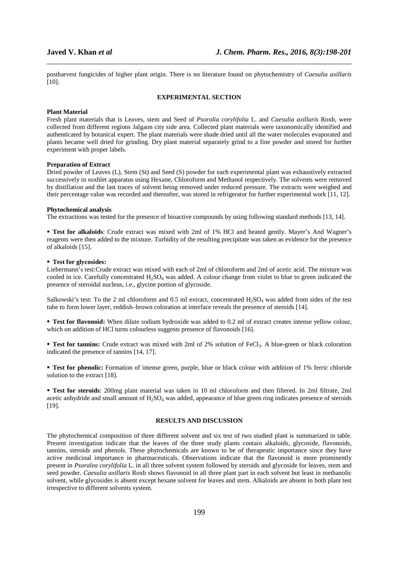postharvest fungicides of higher plant origin. There is no literature found on phytochemistry of *Caesulia axillaris*  [10].

\_\_\_\_\_\_\_\_\_\_\_\_\_\_\_\_\_\_\_\_\_\_\_\_\_\_\_\_\_\_\_\_\_\_\_\_\_\_\_\_\_\_\_\_\_\_\_\_\_\_\_\_\_\_\_\_\_\_\_\_\_\_\_\_\_\_\_\_\_\_\_\_\_\_\_\_\_\_

#### **EXPERIMENTAL SECTION**

#### **Plant Material**

Fresh plant materials that is Leaves, stem and Seed of *Psorolia corylifolia* L. and *Caesulia axillaris* Roxb, were collected from different regions Jalgaon city side area. Collected plant materials were taxonomically identified and authenticated by botanical expert. The plant materials were shade dried until all the water molecules evaporated and plants became well dried for grinding. Dry plant material separately grind to a fine powder and stored for further experiment with proper labels.

#### **Preparation of Extract**

Dried powder of Leaves (L), Stem (St) and Seed (S) powder for each experimental plant was exhaustively extracted successively in soxhlet apparatus using Hexane, Chloroform and Methanol respectively. The solvents were removed by distillation and the last traces of solvent being removed under reduced pressure. The extracts were weighed and their percentage value was recorded and thereafter, was stored in refrigerator for further experimental work [11, 12].

#### **Phytochemical analysis**

The extractions was tested for the presence of bioactive compounds by using following standard methods [13, 14].

 **Test for alkaloids**: Crude extract was mixed with 2ml of 1% HCl and heated gently. Mayer's And Wagner's reagents were then added to the mixture. Turbidity of the resulting precipitate was taken as evidence for the presence of alkaloids [15].

#### **Test for glycosides:**

Liebermann's test:Crude extract was mixed with each of 2ml of chloroform and 2ml of acetic acid. The mixture was cooled in ice. Carefully concentrated  $H_2SO_4$  was added. A colour change from violet to blue to green indicated the presence of steroidal nucleus, i.e., glycine portion of glycoside.

Salkowski's test: To the 2 ml chloroform and 0.5 ml extract, concentrated H<sub>2</sub>SO<sub>4</sub> was added from sides of the test tube to form lower layer, reddish–brown coloration at interface reveals the presence of steroids [14].

**Test for flavonoid:** When dilute sodium hydroxide was added to 0.2 ml of extract creates intense vellow colour, which on addition of HCl turns colourless suggests presence of flavonoids [16].

**Test for tannins:** Crude extract was mixed with 2ml of 2% solution of FeCl<sub>3</sub>. A blue-green or black coloration indicated the presence of tannins [14, 17].

 **Test for phenolic:** Formation of intense green, purple, blue or black colour with addition of 1% ferric chloride solution to the extract [18].

 **Test for steroids**: 200mg plant material was taken in 10 ml chloroform and then filtered. In 2ml filtrate, 2ml acetic anhydride and small amount of  $H_2SO_4$  was added, appearance of blue green ring indicates presence of steroids [19].

### **RESULTS AND DISCUSSION**

The phytochemical composition of three different solvent and six test of two studied plant is summarized in table. Present investigation indicate that the leaves of the three study plants contain alkaloids, glycoside, flavonoids, tannins, steroids and phenols. These phytochemicals are known to be of therapeutic importance since they have active medicinal importance in pharmaceuticals. Observations indicate that the flavonoid is more prominently present in *Psoralea corylifolia* L. in all three solvent system followed by steroids and glycoside for leaves, stem and seed powder. *Caesulia axillaris* Roxb shows flavonoid in all three plant part in each solvent but least in methanolic solvent, while glycosides is absent except hexane solvent for leaves and stem. Alkaloids are absent in both plant test irrespective to different solvents system.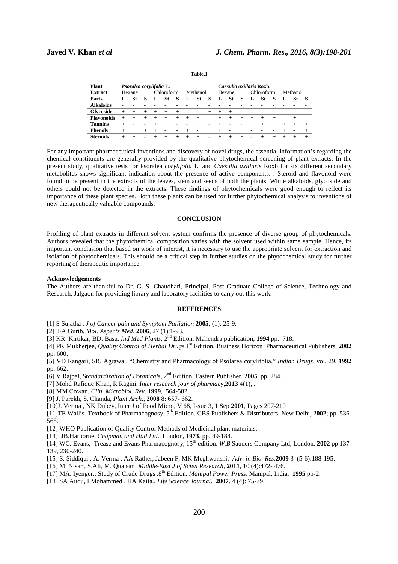| Plant             | Psoralea corylifolia L. |        |                          |            |                 |        |                          |                          |       | Caesulia axillaris Roxb. |                          |        |                 |        |        |          |                          |        |
|-------------------|-------------------------|--------|--------------------------|------------|-----------------|--------|--------------------------|--------------------------|-------|--------------------------|--------------------------|--------|-----------------|--------|--------|----------|--------------------------|--------|
| <b>Extract</b>    | Hexane                  |        |                          | Chloroform |                 |        | Methanol                 |                          |       | Hexane                   |                          |        | Chloroform      |        |        | Methanol |                          |        |
| Parts             |                         | St     | S                        |            | St              | S      |                          | St                       | s     | L                        | <b>St</b>                | s      | L               | St     | S      | L        | St                       | S      |
| <b>Alkaloids</b>  |                         |        |                          |            |                 |        |                          |                          |       |                          |                          |        |                 |        |        |          |                          |        |
| Glycoside         | $^{+}$                  | $\div$ | $+$                      | $^{+}$     | $+$             | $+$    | $\overline{\phantom{a}}$ | -                        |       | $+$                      | $^{+}$                   |        |                 |        |        |          |                          |        |
| <b>Flavonoids</b> |                         |        |                          | $^{+}$     | $^{+}$          | $^{+}$ | $^{+}$                   | $^{+}$                   | ۰     | $^{+}$                   | $^{+}$                   |        |                 | $^{+}$ | $^{+}$ |          |                          |        |
| <b>Tannins</b>    |                         |        |                          | $^{+}$     | $^{+}$          |        |                          | $^{+}$                   | -     | $^{+}$                   |                          |        |                 | $^{+}$ | $^{+}$ |          | $^{+}$                   | $^{+}$ |
| <b>Phenols</b>    | $^{+}$                  | $\pm$  | $^{+}$                   | $^{+}$     | $\qquad \qquad$ |        | $^{+}$                   | $\overline{\phantom{0}}$ | $\pm$ | $^{+}$                   | $\overline{\phantom{a}}$ |        |                 |        | -      |          | $\overline{\phantom{a}}$ | $+$    |
| <b>Steroids</b>   | $^{+}$                  | $\pm$  | $\overline{\phantom{0}}$ | $^{+}$     | $^{+}$          | $^{+}$ | $^{+}$                   | $^{+}$                   | ۰     | $^{+}$                   | $^{+}$                   | $^{+}$ | $\qquad \qquad$ | $^{+}$ | $^{+}$ |          | $\pm$                    | $^{+}$ |
|                   |                         |        |                          |            |                 |        |                          |                          |       |                          |                          |        |                 |        |        |          |                          |        |

\_\_\_\_\_\_\_\_\_\_\_\_\_\_\_\_\_\_\_\_\_\_\_\_\_\_\_\_\_\_\_\_\_\_\_\_\_\_\_\_\_\_\_\_\_\_\_\_\_\_\_\_\_\_\_\_\_\_\_\_\_\_\_\_\_\_\_\_\_\_\_\_\_\_\_\_\_\_

**Table.1** 

For any important pharmaceutical inventions and discovery of novel drugs, the essential information's regarding the chemical constituents are generally provided by the qualitative phytochemical screening of plant extracts. In the present study, qualitative tests for Psoralea *corylifolia* L. and *Caesulia axillaris* Roxb for six different secondary metabolites shows significant indication about the presence of active components. . Steroid and flavonoid were found to be present in the extracts of the leaves, stem and seeds of both the plants. While alkaloids, glycoside and others could not be detected in the extracts. These findings of phytochemicals were good enough to reflect its importance of these plant species. Both these plants can be used for further phytochemical analysis to inventions of new therapeutically valuable compounds.

#### **CONCLUSION**

Profiling of plant extracts in different solvent system confirms the presence of diverse group of phytochemicals. Authors revealed that the phytochemical composition varies with the solvent used within same sample. Hence, its important conclusion that based on work of interest, it is necessary to use the appropriate solvent for extraction and isolation of phytochemicals. This should be a critical step in further studies on the phytochemical study for further reporting of therapeutic importance.

#### **Acknowledgements**

The Authors are thankful to Dr. G. S. Chaudhari, Principal, Post Graduate College of Science, Technology and Research, Jalgaon for providing library and laboratory facilities to carry out this work.

#### **REFERENCES**

[1] S Sujatha *, J of Cancer pain and Symptom Palliation* **2005**; (1): 25-9.

[2] FA Gurib, *Mol. Aspects Med*, **2006**, 27 (1):1-93.

[3] KR Kirtikar, BD. Basu, *Ind Med Plants.* 2nd Edition*.* Mahendra publication, **1994** pp. 718.

[4] PK Mukherjee, *Quality Control of Herbal Drugs*.1st Edition, Business Horizon Pharmaceutical Publishers, **2002** pp. 600.

[5] VD Rangari, SR. Agrawal, "Chemistry and Pharmacology of Psolarea corylifolia," *Indian Drugs*, vol. 29, **1992** pp. 662.

[6] V Rajpal, *Standardization of Botanicals*, 2nd Edition. Eastern Publisher, **2005** pp. 284.

[7] Mohd Rafique Khan, R Ragini, *Inter research jour of pharmacy*,**2013** 4(1), .

[8] MM Cowan, *Clin. Microbiol. Rev*. **1999**, 564-582.

[9] J. Parekh, S. Chanda, *Plant Arch*., **2008** 8: 657- 662.

[10]J. Verma , NK Dubey, Inter J of Food Micro, V 68, Issue 3, 1 Sep **2001**, Pages 207-210

[11]TE Wallis. Textbook of Pharmacognosy. 5th Edition. CBS Publishers & Distributors. New Delhi, **2002**; pp. 536- 565.

[12] WHO Publication of Quality Control Methods of Medicinal plant materials.

[13] JB.Harborne, *Chapman and Hall Ltd*., London, **1973**. pp. 49-188.

[14] WC. Evans, Trease and Evans Pharmacognosy, 15th edition. *W.B* Sauders Company Ltd, London. **2002** pp 137- 139, 230-240.

[15] S. Siddiqui , A. Verma , AA Rather, Jabeen F, MK Meghwanshi, *Adv. in Bio. Res.***2009** 3 (5-6):188-195.

[16] M. Nisar , S.Ali, M. Quaisar , *Middle-East J of Scien Research,* **2011**, 10 (4):472- 476.

[17] MA. Iyenger,. Study of Crude Drugs .8th Edition*. Manipal Power Press*. Manipal, India. **1995** pp-2.

[18] SA Audu, I Mohammed , HA Kaita., *Life Science Journal*. **2007**. 4 (4): 75-79.